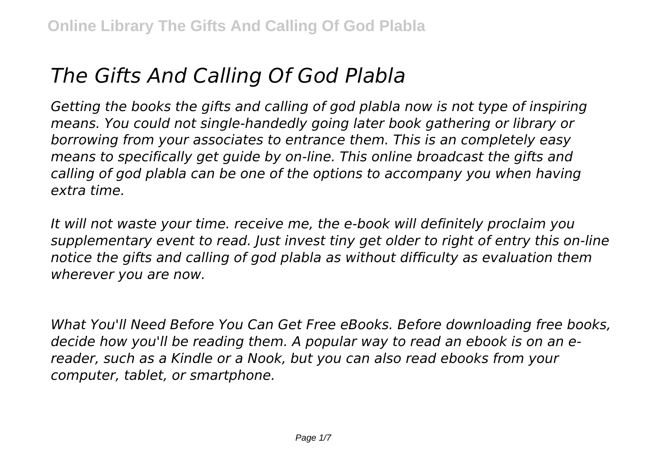## *The Gifts And Calling Of God Plabla*

*Getting the books the gifts and calling of god plabla now is not type of inspiring means. You could not single-handedly going later book gathering or library or borrowing from your associates to entrance them. This is an completely easy means to specifically get guide by on-line. This online broadcast the gifts and calling of god plabla can be one of the options to accompany you when having extra time.*

*It will not waste your time. receive me, the e-book will definitely proclaim you supplementary event to read. Just invest tiny get older to right of entry this on-line notice the gifts and calling of god plabla as without difficulty as evaluation them wherever you are now.*

*What You'll Need Before You Can Get Free eBooks. Before downloading free books, decide how you'll be reading them. A popular way to read an ebook is on an ereader, such as a Kindle or a Nook, but you can also read ebooks from your computer, tablet, or smartphone.*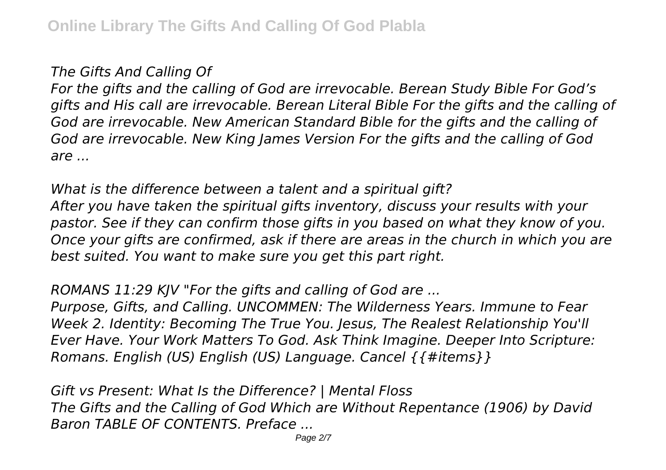## *The Gifts And Calling Of*

*For the gifts and the calling of God are irrevocable. Berean Study Bible For God's gifts and His call are irrevocable. Berean Literal Bible For the gifts and the calling of God are irrevocable. New American Standard Bible for the gifts and the calling of God are irrevocable. New King James Version For the gifts and the calling of God are ...*

*What is the difference between a talent and a spiritual gift? After you have taken the spiritual gifts inventory, discuss your results with your pastor. See if they can confirm those gifts in you based on what they know of you. Once your gifts are confirmed, ask if there are areas in the church in which you are best suited. You want to make sure you get this part right.*

*ROMANS 11:29 KJV "For the gifts and calling of God are ...*

*Purpose, Gifts, and Calling. UNCOMMEN: The Wilderness Years. Immune to Fear Week 2. Identity: Becoming The True You. Jesus, The Realest Relationship You'll Ever Have. Your Work Matters To God. Ask Think Imagine. Deeper Into Scripture: Romans. English (US) English (US) Language. Cancel {{#items}}*

*Gift vs Present: What Is the Difference? | Mental Floss The Gifts and the Calling of God Which are Without Repentance (1906) by David Baron TABLE OF CONTENTS. Preface ...*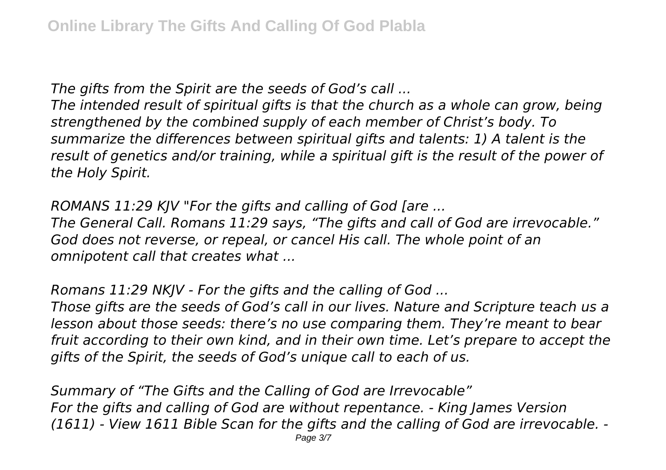*The gifts from the Spirit are the seeds of God's call ...*

*The intended result of spiritual gifts is that the church as a whole can grow, being strengthened by the combined supply of each member of Christ's body. To summarize the differences between spiritual gifts and talents: 1) A talent is the result of genetics and/or training, while a spiritual gift is the result of the power of the Holy Spirit.*

*ROMANS 11:29 KJV "For the gifts and calling of God [are ...*

*The General Call. Romans 11:29 says, "The gifts and call of God are irrevocable." God does not reverse, or repeal, or cancel His call. The whole point of an omnipotent call that creates what ...*

*Romans 11:29 NKJV - For the gifts and the calling of God ...*

*Those gifts are the seeds of God's call in our lives. Nature and Scripture teach us a lesson about those seeds: there's no use comparing them. They're meant to bear fruit according to their own kind, and in their own time. Let's prepare to accept the gifts of the Spirit, the seeds of God's unique call to each of us.*

*Summary of "The Gifts and the Calling of God are Irrevocable" For the gifts and calling of God are without repentance. - King James Version (1611) - View 1611 Bible Scan for the gifts and the calling of God are irrevocable. -*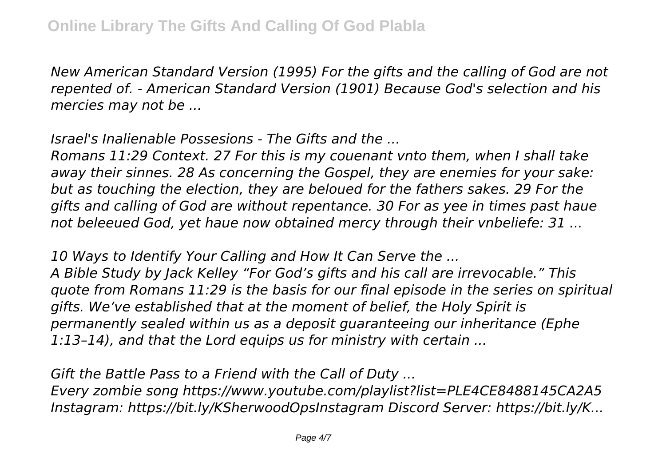*New American Standard Version (1995) For the gifts and the calling of God are not repented of. - American Standard Version (1901) Because God's selection and his mercies may not be ...*

*Israel's Inalienable Possesions - The Gifts and the ...*

*Romans 11:29 Context. 27 For this is my couenant vnto them, when I shall take away their sinnes. 28 As concerning the Gospel, they are enemies for your sake: but as touching the election, they are beloued for the fathers sakes. 29 For the gifts and calling of God are without repentance. 30 For as yee in times past haue not beleeued God, yet haue now obtained mercy through their vnbeliefe: 31 ...*

*10 Ways to Identify Your Calling and How It Can Serve the ...*

*A Bible Study by Jack Kelley "For God's gifts and his call are irrevocable." This quote from Romans 11:29 is the basis for our final episode in the series on spiritual gifts. We've established that at the moment of belief, the Holy Spirit is permanently sealed within us as a deposit guaranteeing our inheritance (Ephe 1:13–14), and that the Lord equips us for ministry with certain ...*

*Gift the Battle Pass to a Friend with the Call of Duty ...*

*Every zombie song https://www.youtube.com/playlist?list=PLE4CE8488145CA2A5 Instagram: https://bit.ly/KSherwoodOpsInstagram Discord Server: https://bit.ly/K...*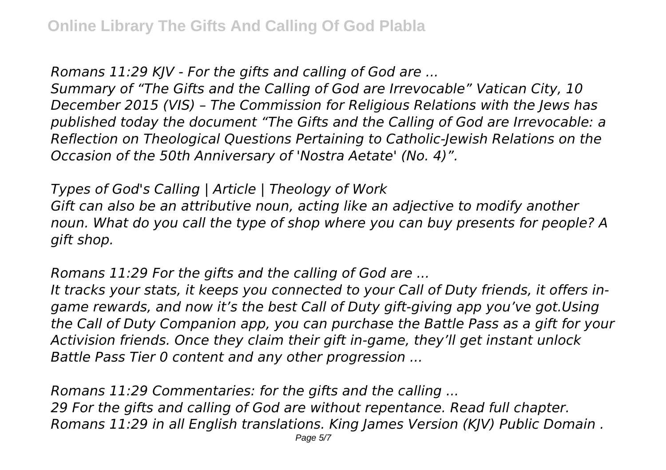*Romans 11:29 KJV - For the gifts and calling of God are ...*

*Summary of "The Gifts and the Calling of God are Irrevocable" Vatican City, 10 December 2015 (VIS) – The Commission for Religious Relations with the Jews has published today the document "The Gifts and the Calling of God are Irrevocable: a Reflection on Theological Questions Pertaining to Catholic-Jewish Relations on the Occasion of the 50th Anniversary of 'Nostra Aetate' (No. 4)".*

*Types of God's Calling | Article | Theology of Work Gift can also be an attributive noun, acting like an adjective to modify another noun. What do you call the type of shop where you can buy presents for people? A gift shop.*

*Romans 11:29 For the gifts and the calling of God are ...*

*It tracks your stats, it keeps you connected to your Call of Duty friends, it offers ingame rewards, and now it's the best Call of Duty gift-giving app you've got.Using the Call of Duty Companion app, you can purchase the Battle Pass as a gift for your Activision friends. Once they claim their gift in-game, they'll get instant unlock Battle Pass Tier 0 content and any other progression ...*

*Romans 11:29 Commentaries: for the gifts and the calling ... 29 For the gifts and calling of God are without repentance. Read full chapter. Romans 11:29 in all English translations. King James Version (KJV) Public Domain .*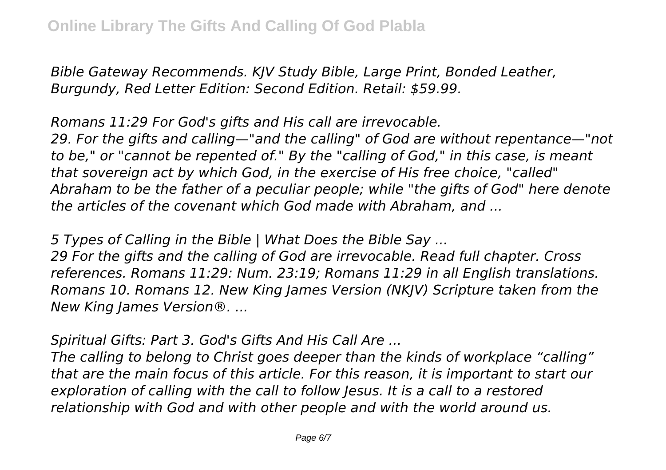*Bible Gateway Recommends. KJV Study Bible, Large Print, Bonded Leather, Burgundy, Red Letter Edition: Second Edition. Retail: \$59.99.*

*Romans 11:29 For God's gifts and His call are irrevocable. 29. For the gifts and calling—"and the calling" of God are without repentance—"not to be," or "cannot be repented of." By the "calling of God," in this case, is meant that sovereign act by which God, in the exercise of His free choice, "called" Abraham to be the father of a peculiar people; while "the gifts of God" here denote the articles of the covenant which God made with Abraham, and ...*

*5 Types of Calling in the Bible | What Does the Bible Say ...*

*29 For the gifts and the calling of God are irrevocable. Read full chapter. Cross references. Romans 11:29: Num. 23:19; Romans 11:29 in all English translations. Romans 10. Romans 12. New King James Version (NKJV) Scripture taken from the New King James Version®. ...*

*Spiritual Gifts: Part 3. God's Gifts And His Call Are ...*

*The calling to belong to Christ goes deeper than the kinds of workplace "calling" that are the main focus of this article. For this reason, it is important to start our exploration of calling with the call to follow Jesus. It is a call to a restored relationship with God and with other people and with the world around us.*